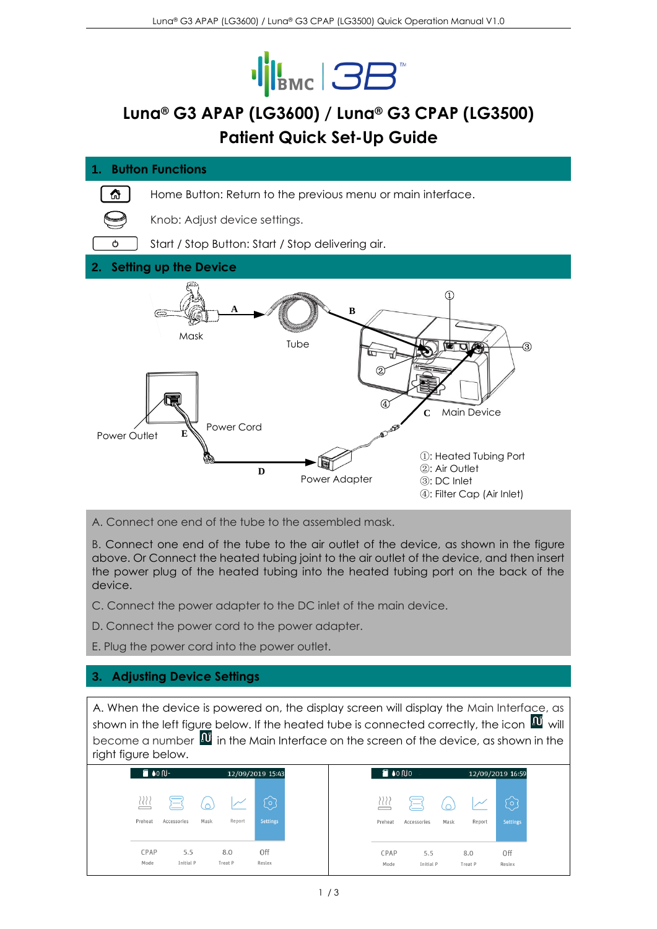

# **Luna® G3 APAP (LG3600) / Luna® G3 CPAP (LG3500) Patient Quick Set-Up Guide**

**1. Button Functions** ⚠ Home Button: Return to the previous menu or main interface.

Knob: Adjust device settings.



## **2. Setting up the Device**



A. Connect one end of the tube to the assembled mask.

B. Connect one end of the tube to the air outlet of the device, as shown in the figure above. Or Connect the heated tubing joint to the air outlet of the device, and then insert the power plug of the heated tubing into the heated tubing port on the back of the device.

C. Connect the power adapter to the DC inlet of the main device.

- D. Connect the power cord to the power adapter.
- E. Plug the power cord into the power outlet.

# **3. Adjusting Device Settings**

A. When the device is powered on, the display screen will display the Main Interface, as shown in the left figure below. If the heated tube is connected correctly, the icon  $\mathbf{w}$  will become a number  $\mathbf{N}$  in the Main Interface on the screen of the device, as shown in the right figure below.

| ‴ •் ல-                                      | 12/09/2019 15:43                      | <b>O</b> O O                               |                                      | 12/09/2019 16:59                     |
|----------------------------------------------|---------------------------------------|--------------------------------------------|--------------------------------------|--------------------------------------|
| ═<br>⋍<br>$\equiv$<br>Preheat<br>Accessories | $\circ$<br>Settings<br>Report<br>Mask | १११<br>$\overline{\phantom{0}}$<br>Preheat | $\equiv$<br>—<br>Mask<br>Accessories | $\circ$<br>Report<br><b>Settings</b> |
| CPAP<br>5.5<br>Initial P<br>Mode             | Off<br>8.0<br>Treat P<br>Reslex       | CPAP<br>Mode                               | 5.5<br>Initial P                     | Off<br>8.0<br>Treat P<br>Reslex      |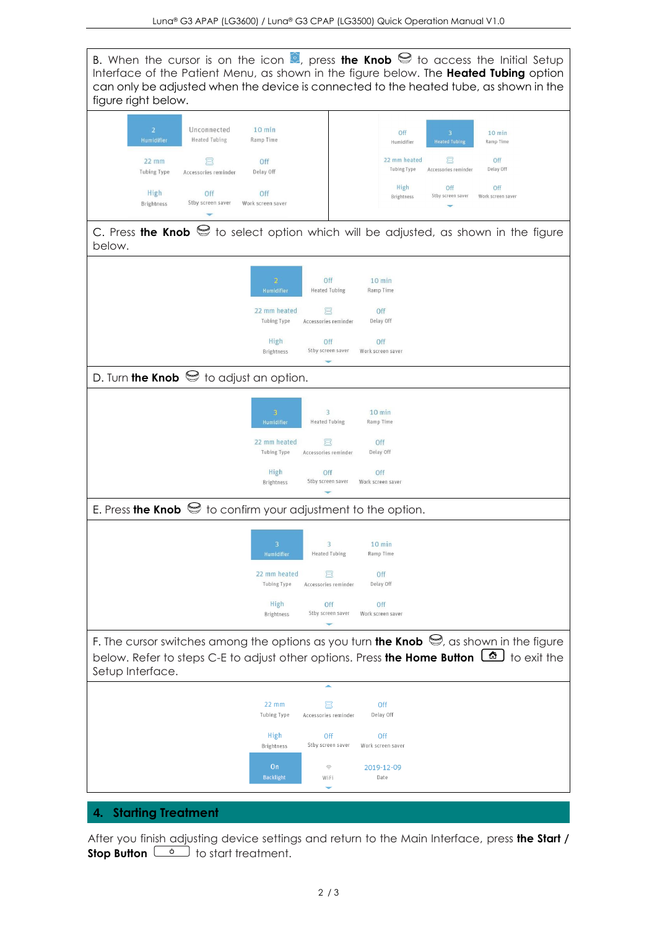

After you finish adjusting device settings and return to the Main Interface, press **the Start / Stop Button**  $\begin{bmatrix} 0 \\ 0 \end{bmatrix}$  to start treatment.